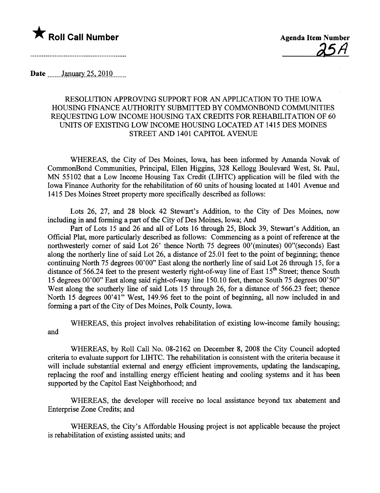

<u>25H</u>

Date January 25, 2010

## RESOLUTION APPROVING SUPPORT FOR AN APPLICATION TO THE IOWA HOUSING FINANCE AUTHORITY SUBMITTED BY COMMONBOND COMMUNITIES REQUESTING LOW INCOME HOUSING TAX CREDITS FOR REHABILITATION OF 60 UNITS OF EXISTING LOW INCOME HOUSING LOCATED AT 1415 DES MOINES STREET AND 1401 CAPITOL AVENUE

WHEREAS, the City of Des Moines, Iowa, has been informed by Amanda Novak of CommonBond Communties, Principal, Ellen Higgins, 328 Kellogg Boulevard West, St. Paul, MN 55102 that a Low Income Housing Tax Credit (LIHTC) application will be filed with the Iowa Finance Authority for the rehabilitation of 60 units of housing located at 1401 Avenue and 1415 Des Moines Street property more specifically described as follows:

Lots 26, 27, and 28 block 42 Stewar's Addition, to the City of Des Moines, now including in and forming a part of the City of Des Moines, Iowa; And

Part of Lots 15 and 26 and all of Lots 16 through 25, Block 39, Stewart's Addition, an Official Plat, more paricularly described as follows: Commencing as a point of reference at the northwesterly corner of said Lot 26' thence North 75 degrees 00'(minutes) 00"(seconds) East along the northerly line of said Lot  $26$ , a distance of  $25.01$  feet to the point of beginning; thence continuing North 75 degrees 00'00" East along the northerly line of said Lot 26 through 15, for a distance of 566.24 feet to the present westerly right-of-way line of East 15<sup>th</sup> Street; thence South 15 degrees 00'00" East along said right-of-way line 150.10 feet, thence South 75 degrees 00'50" West along the southerly line of said Lots 15 through 26, for a distance of 566.23 feet; thence North 15 degrees 00'41" West, 149.96 feet to the point of beginning, all now included in and forming a part of the City of Des Moines, Polk County, Iowa.

WHEREAS, this project involves rehabilitation of existing low-income family housing; and

WHEREAS, by Roll Call No. 08-2162 on December 8, 2008 the City Council adopted criteria to evaluate support for LIHTC. The rehabiltation is consistent with the criteria because it will include substantial external and energy efficient improvements, updating the landscaping, replacing the roof and installing energy efficient heating and cooling systems and it has been supported by the Capitol East Neighborhood; and

WHEREAS, the developer will receive no local assistance beyond tax abatement and Enterprise Zone Credits; and

WHEREAS, the City's Affordable Housing project is not applicable because the project is rehabiltation of existing assisted unts; and